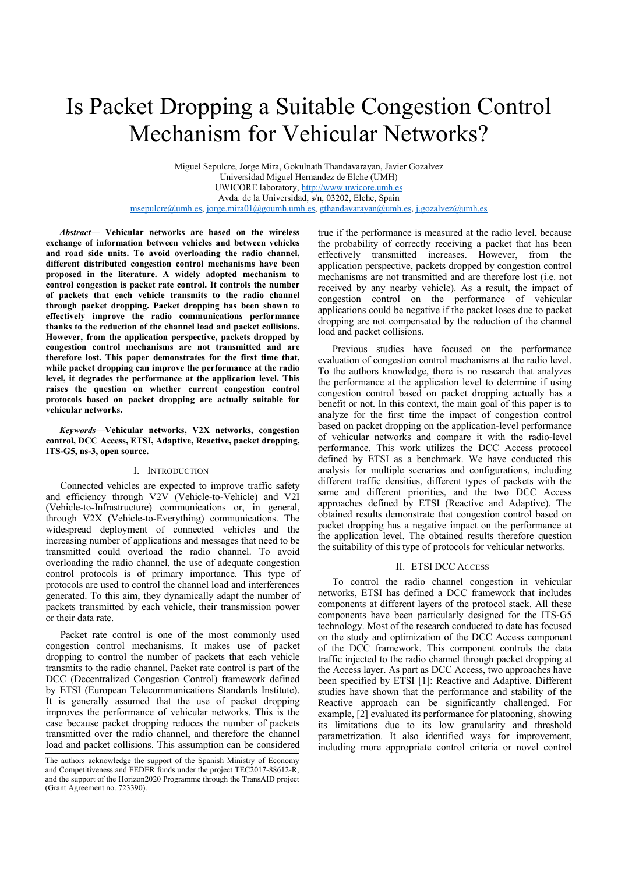# Is Packet Dropping a Suitable Congestion Control Mechanism for Vehicular Networks?

Miguel Sepulcre, Jorge Mira, Gokulnath Thandavarayan, Javier Gozalvez Universidad Miguel Hernandez de Elche (UMH) UWICORE laboratory, http://www.uwicore.umh.es Avda. de la Universidad, s/n, 03202, Elche, Spain msepulcre@umh.es, jorge.mira01@goumh.umh.es, gthandavarayan@umh.es, j.gozalvez@umh.es

*Abstract***— Vehicular networks are based on the wireless exchange of information between vehicles and between vehicles and road side units. To avoid overloading the radio channel, different distributed congestion control mechanisms have been proposed in the literature. A widely adopted mechanism to control congestion is packet rate control. It controls the number of packets that each vehicle transmits to the radio channel through packet dropping. Packet dropping has been shown to effectively improve the radio communications performance thanks to the reduction of the channel load and packet collisions. However, from the application perspective, packets dropped by congestion control mechanisms are not transmitted and are therefore lost. This paper demonstrates for the first time that, while packet dropping can improve the performance at the radio level, it degrades the performance at the application level. This raises the question on whether current congestion control protocols based on packet dropping are actually suitable for vehicular networks.** 

*Keywords—***Vehicular networks, V2X networks, congestion control, DCC Access, ETSI, Adaptive, Reactive, packet dropping, ITS-G5, ns-3, open source.**

## I. INTRODUCTION

Connected vehicles are expected to improve traffic safety and efficiency through V2V (Vehicle-to-Vehicle) and V2I (Vehicle-to-Infrastructure) communications or, in general, through V2X (Vehicle-to-Everything) communications. The widespread deployment of connected vehicles and the increasing number of applications and messages that need to be transmitted could overload the radio channel. To avoid overloading the radio channel, the use of adequate congestion control protocols is of primary importance. This type of protocols are used to control the channel load and interferences generated. To this aim, they dynamically adapt the number of packets transmitted by each vehicle, their transmission power or their data rate.

Packet rate control is one of the most commonly used congestion control mechanisms. It makes use of packet dropping to control the number of packets that each vehicle transmits to the radio channel. Packet rate control is part of the DCC (Decentralized Congestion Control) framework defined by ETSI (European Telecommunications Standards Institute). It is generally assumed that the use of packet dropping improves the performance of vehicular networks. This is the case because packet dropping reduces the number of packets transmitted over the radio channel, and therefore the channel load and packet collisions. This assumption can be considered

true if the performance is measured at the radio level, because the probability of correctly receiving a packet that has been effectively transmitted increases. However, from the application perspective, packets dropped by congestion control mechanisms are not transmitted and are therefore lost (i.e. not received by any nearby vehicle). As a result, the impact of congestion control on the performance of vehicular applications could be negative if the packet loses due to packet dropping are not compensated by the reduction of the channel load and packet collisions.

Previous studies have focused on the performance evaluation of congestion control mechanisms at the radio level. To the authors knowledge, there is no research that analyzes the performance at the application level to determine if using congestion control based on packet dropping actually has a benefit or not. In this context, the main goal of this paper is to analyze for the first time the impact of congestion control based on packet dropping on the application-level performance of vehicular networks and compare it with the radio-level performance. This work utilizes the DCC Access protocol defined by ETSI as a benchmark. We have conducted this analysis for multiple scenarios and configurations, including different traffic densities, different types of packets with the same and different priorities, and the two DCC Access approaches defined by ETSI (Reactive and Adaptive). The obtained results demonstrate that congestion control based on packet dropping has a negative impact on the performance at the application level. The obtained results therefore question the suitability of this type of protocols for vehicular networks.

#### II. ETSI DCC ACCESS

To control the radio channel congestion in vehicular networks, ETSI has defined a DCC framework that includes components at different layers of the protocol stack. All these components have been particularly designed for the ITS-G5 technology. Most of the research conducted to date has focused on the study and optimization of the DCC Access component of the DCC framework. This component controls the data traffic injected to the radio channel through packet dropping at the Access layer. As part as DCC Access, two approaches have been specified by ETSI [1]: Reactive and Adaptive. Different studies have shown that the performance and stability of the Reactive approach can be significantly challenged. For example, [2] evaluated its performance for platooning, showing its limitations due to its low granularity and threshold parametrization. It also identified ways for improvement, including more appropriate control criteria or novel control

The authors acknowledge the support of the Spanish Ministry of Economy and Competitiveness and FEDER funds under the project TEC2017-88612-R, and the support of the Horizon2020 Programme through the TransAID project (Grant Agreement no. 723390).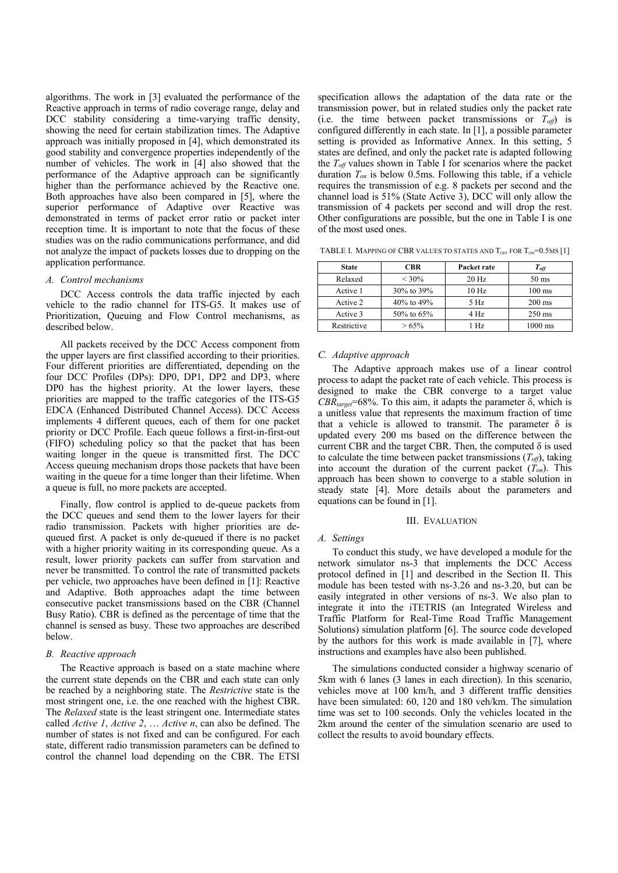algorithms. The work in [3] evaluated the performance of the Reactive approach in terms of radio coverage range, delay and DCC stability considering a time-varying traffic density, showing the need for certain stabilization times. The Adaptive approach was initially proposed in [4], which demonstrated its good stability and convergence properties independently of the number of vehicles. The work in [4] also showed that the performance of the Adaptive approach can be significantly higher than the performance achieved by the Reactive one. Both approaches have also been compared in [5], where the superior performance of Adaptive over Reactive was demonstrated in terms of packet error ratio or packet inter reception time. It is important to note that the focus of these studies was on the radio communications performance, and did not analyze the impact of packets losses due to dropping on the application performance.

## *A. Control mechanisms*

DCC Access controls the data traffic injected by each vehicle to the radio channel for ITS-G5. It makes use of Prioritization, Queuing and Flow Control mechanisms, as described below.

All packets received by the DCC Access component from the upper layers are first classified according to their priorities. Four different priorities are differentiated, depending on the four DCC Profiles (DPs): DP0, DP1, DP2 and DP3, where DP0 has the highest priority. At the lower layers, these priorities are mapped to the traffic categories of the ITS-G5 EDCA (Enhanced Distributed Channel Access). DCC Access implements 4 different queues, each of them for one packet priority or DCC Profile. Each queue follows a first-in-first-out (FIFO) scheduling policy so that the packet that has been waiting longer in the queue is transmitted first. The DCC Access queuing mechanism drops those packets that have been waiting in the queue for a time longer than their lifetime. When a queue is full, no more packets are accepted.

Finally, flow control is applied to de-queue packets from the DCC queues and send them to the lower layers for their radio transmission. Packets with higher priorities are dequeued first. A packet is only de-queued if there is no packet with a higher priority waiting in its corresponding queue. As a result, lower priority packets can suffer from starvation and never be transmitted. To control the rate of transmitted packets per vehicle, two approaches have been defined in [1]: Reactive and Adaptive. Both approaches adapt the time between consecutive packet transmissions based on the CBR (Channel Busy Ratio). CBR is defined as the percentage of time that the channel is sensed as busy. These two approaches are described below.

### *B. Reactive approach*

The Reactive approach is based on a state machine where the current state depends on the CBR and each state can only be reached by a neighboring state. The *Restrictive* state is the most stringent one, i.e. the one reached with the highest CBR. The *Relaxed* state is the least stringent one. Intermediate states called *Active 1*, *Active 2*, … *Active n*, can also be defined. The number of states is not fixed and can be configured. For each state, different radio transmission parameters can be defined to control the channel load depending on the CBR. The ETSI

specification allows the adaptation of the data rate or the transmission power, but in related studies only the packet rate (i.e. the time between packet transmissions or *Toff*) is configured differently in each state. In [1], a possible parameter setting is provided as Informative Annex. In this setting, 5 states are defined, and only the packet rate is adapted following the  $T_{\text{off}}$  values shown in Table I for scenarios where the packet duration *Ton* is below 0.5ms. Following this table, if a vehicle requires the transmission of e.g. 8 packets per second and the channel load is 51% (State Active 3), DCC will only allow the transmission of 4 packets per second and will drop the rest. Other configurations are possible, but the one in Table I is one of the most used ones.

TABLE I. MAPPING OF CBR VALUES TO STATES AND  $T_{OFF}$  FOR  $T_{ON}$ =0.5MS [1]

| <b>State</b> | CBR          | Packet rate | $T_{\it off}$     |
|--------------|--------------|-------------|-------------------|
| Relaxed      | $< 30\%$     | $20$ Hz     | $50 \text{ ms}$   |
| Active 1     | 30% to 39%   | $10$ Hz     | $100 \text{ ms}$  |
| Active 2     | 40% to 49%   | 5 Hz        | $200 \text{ ms}$  |
| Active 3     | 50\% to 65\% | $4$ Hz      | $250 \text{ ms}$  |
| Restrictive  | >65%         | 1 Hz        | $1000 \text{ ms}$ |

#### *C. Adaptive approach*

The Adaptive approach makes use of a linear control process to adapt the packet rate of each vehicle. This process is designed to make the CBR converge to a target value *CBRtarget*=68%. To this aim, it adapts the parameter δ, which is a unitless value that represents the maximum fraction of time that a vehicle is allowed to transmit. The parameter  $\delta$  is updated every 200 ms based on the difference between the current CBR and the target CBR. Then, the computed  $\delta$  is used to calculate the time between packet transmissions  $(T<sub>off</sub>)$ , taking into account the duration of the current packet  $(T_{on})$ . This approach has been shown to converge to a stable solution in steady state [4]. More details about the parameters and equations can be found in [1].

## III. EVALUATION

## *A. Settings*

To conduct this study, we have developed a module for the network simulator ns-3 that implements the DCC Access protocol defined in [1] and described in the Section II. This module has been tested with ns-3.26 and ns-3.20, but can be easily integrated in other versions of ns-3. We also plan to integrate it into the iTETRIS (an Integrated Wireless and Traffic Platform for Real-Time Road Traffic Management Solutions) simulation platform [6]. The source code developed by the authors for this work is made available in [7], where instructions and examples have also been published.

The simulations conducted consider a highway scenario of 5km with 6 lanes (3 lanes in each direction). In this scenario, vehicles move at 100 km/h, and 3 different traffic densities have been simulated: 60, 120 and 180 veh/km. The simulation time was set to 100 seconds. Only the vehicles located in the 2km around the center of the simulation scenario are used to collect the results to avoid boundary effects.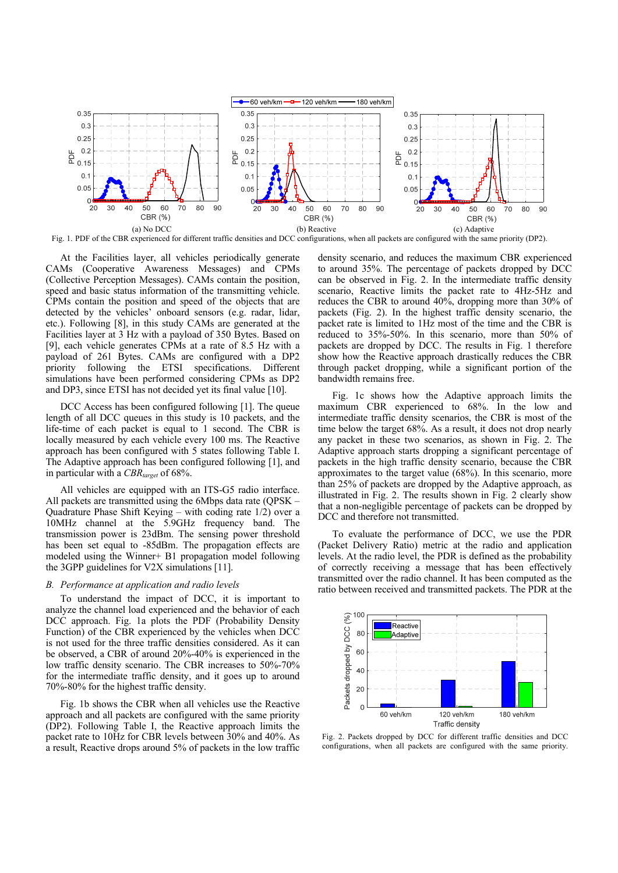

At the Facilities layer, all vehicles periodically generate CAMs (Cooperative Awareness Messages) and CPMs (Collective Perception Messages). CAMs contain the position, speed and basic status information of the transmitting vehicle. CPMs contain the position and speed of the objects that are detected by the vehicles' onboard sensors (e.g. radar, lidar, etc.). Following [8], in this study CAMs are generated at the Facilities layer at 3 Hz with a payload of 350 Bytes. Based on [9], each vehicle generates CPMs at a rate of 8.5 Hz with a payload of 261 Bytes. CAMs are configured with a DP2 priority following the ETSI specifications. Different simulations have been performed considering CPMs as DP2 and DP3, since ETSI has not decided yet its final value [10].

DCC Access has been configured following [1]. The queue length of all DCC queues in this study is 10 packets, and the life-time of each packet is equal to 1 second. The CBR is locally measured by each vehicle every 100 ms. The Reactive approach has been configured with 5 states following Table I. The Adaptive approach has been configured following [1], and in particular with a *CBR*<sub>target</sub> of 68%.

All vehicles are equipped with an ITS-G5 radio interface. All packets are transmitted using the 6Mbps data rate (QPSK – Quadrature Phase Shift Keying – with coding rate 1/2) over a 10MHz channel at the 5.9GHz frequency band. The transmission power is 23dBm. The sensing power threshold has been set equal to -85dBm. The propagation effects are modeled using the Winner+ B1 propagation model following the 3GPP guidelines for V2X simulations [11].

## *B. Performance at application and radio levels*

To understand the impact of DCC, it is important to analyze the channel load experienced and the behavior of each DCC approach. Fig. 1a plots the PDF (Probability Density Function) of the CBR experienced by the vehicles when DCC is not used for the three traffic densities considered. As it can be observed, a CBR of around 20%-40% is experienced in the low traffic density scenario. The CBR increases to 50%-70% for the intermediate traffic density, and it goes up to around 70%-80% for the highest traffic density.

Fig. 1b shows the CBR when all vehicles use the Reactive approach and all packets are configured with the same priority (DP2). Following Table I, the Reactive approach limits the packet rate to 10Hz for CBR levels between 30% and 40%. As a result, Reactive drops around 5% of packets in the low traffic

density scenario, and reduces the maximum CBR experienced to around 35%. The percentage of packets dropped by DCC can be observed in Fig. 2. In the intermediate traffic density scenario, Reactive limits the packet rate to 4Hz-5Hz and reduces the CBR to around 40%, dropping more than 30% of packets (Fig. 2). In the highest traffic density scenario, the packet rate is limited to 1Hz most of the time and the CBR is reduced to 35%-50%. In this scenario, more than 50% of packets are dropped by DCC. The results in Fig. 1 therefore show how the Reactive approach drastically reduces the CBR through packet dropping, while a significant portion of the bandwidth remains free.

Fig. 1c shows how the Adaptive approach limits the maximum CBR experienced to 68%. In the low and intermediate traffic density scenarios, the CBR is most of the time below the target 68%. As a result, it does not drop nearly any packet in these two scenarios, as shown in Fig. 2. The Adaptive approach starts dropping a significant percentage of packets in the high traffic density scenario, because the CBR approximates to the target value (68%). In this scenario, more than 25% of packets are dropped by the Adaptive approach, as illustrated in Fig. 2. The results shown in Fig. 2 clearly show that a non-negligible percentage of packets can be dropped by DCC and therefore not transmitted.

To evaluate the performance of DCC, we use the PDR (Packet Delivery Ratio) metric at the radio and application levels. At the radio level, the PDR is defined as the probability of correctly receiving a message that has been effectively transmitted over the radio channel. It has been computed as the ratio between received and transmitted packets. The PDR at the



Fig. 2. Packets dropped by DCC for different traffic densities and DCC configurations, when all packets are configured with the same priority.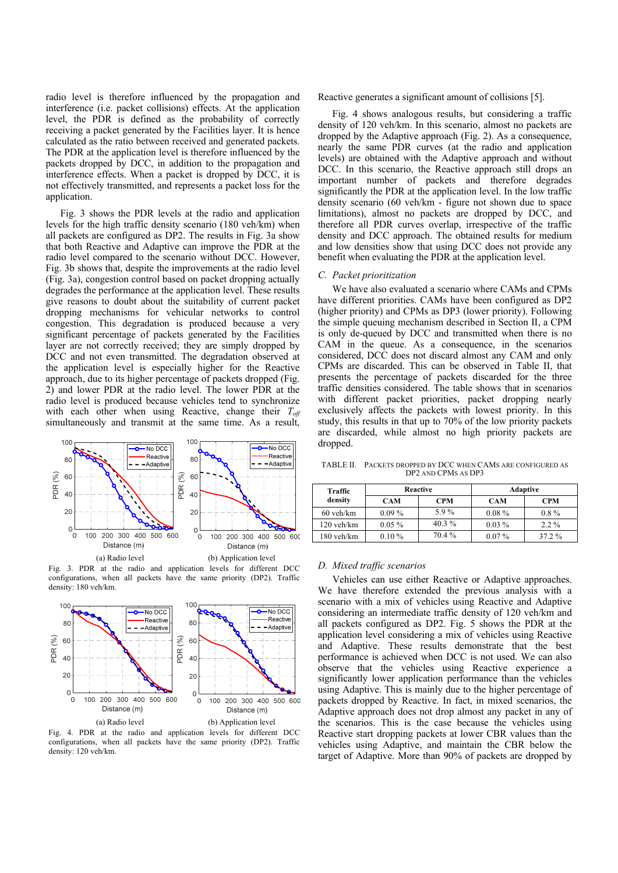radio level is therefore influenced by the propagation and interference (i.e. packet collisions) effects. At the application level, the PDR is defined as the probability of correctly receiving a packet generated by the Facilities layer. It is hence calculated as the ratio between received and generated packets. The PDR at the application level is therefore influenced by the packets dropped by DCC, in addition to the propagation and interference effects. When a packet is dropped by DCC, it is not effectively transmitted, and represents a packet loss for the application.

Fig. 3 shows the PDR levels at the radio and application levels for the high traffic density scenario (180 veh/km) when all packets are configured as DP2. The results in Fig. 3a show that both Reactive and Adaptive can improve the PDR at the radio level compared to the scenario without DCC. However, Fig. 3b shows that, despite the improvements at the radio level (Fig. 3a), congestion control based on packet dropping actually degrades the performance at the application level. These results give reasons to doubt about the suitability of current packet dropping mechanisms for vehicular networks to control congestion. This degradation is produced because a very significant percentage of packets generated by the Facilities layer are not correctly received; they are simply dropped by DCC and not even transmitted. The degradation observed at the application level is especially higher for the Reactive approach, due to its higher percentage of packets dropped (Fig. 2) and lower PDR at the radio level. The lower PDR at the radio level is produced because vehicles tend to synchronize with each other when using Reactive, change their  $T_{off}$ simultaneously and transmit at the same time. As a result,



Fig. 3. PDR at the radio and application levels for different DCC configurations, when all packets have the same priority (DP2). Traffic density: 180 veh/km.



Fig. 4. PDR at the radio and application levels for different DCC configurations, when all packets have the same priority (DP2). Traffic

Reactive generates a significant amount of collisions [5].

Fig. 4 shows analogous results, but considering a traffic density of 120 veh/km. In this scenario, almost no packets are dropped by the Adaptive approach (Fig. 2). As a consequence, nearly the same PDR curves (at the radio and application levels) are obtained with the Adaptive approach and without DCC. In this scenario, the Reactive approach still drops an important number of packets and therefore degrades significantly the PDR at the application level. In the low traffic density scenario (60 veh/km - figure not shown due to space limitations), almost no packets are dropped by DCC, and therefore all PDR curves overlap, irrespective of the traffic density and DCC approach. The obtained results for medium and low densities show that using DCC does not provide any benefit when evaluating the PDR at the application level.

#### *C. Packet prioritization*

We have also evaluated a scenario where CAMs and CPMs have different priorities. CAMs have been configured as DP2 (higher priority) and CPMs as DP3 (lower priority). Following the simple queuing mechanism described in Section II, a CPM is only de-queued by DCC and transmitted when there is no CAM in the queue. As a consequence, in the scenarios considered, DCC does not discard almost any CAM and only CPMs are discarded. This can be observed in Table II, that presents the percentage of packets discarded for the three traffic densities considered. The table shows that in scenarios with different packet priorities, packet dropping nearly exclusively affects the packets with lowest priority. In this study, this results in that up to 70% of the low priority packets are discarded, while almost no high priority packets are dropped.

TABLE II. PACKETS DROPPED BY DCC WHEN CAMS ARE CONFIGURED AS DP2 AND CPMS AS DP3

| Traffic<br>density | Reactive |            | <b>Adaptive</b> |            |
|--------------------|----------|------------|-----------------|------------|
|                    | CAM      | <b>CPM</b> | <b>CAM</b>      | <b>CPM</b> |
| $60$ veh/km        | $0.09\%$ | 5.9%       | $0.08\%$        | $0.8\%$    |
| $120$ veh/km       | $0.05\%$ | $40.3\%$   | $0.03\%$        | $2.2\%$    |
| $180$ veh/km       | $0.10\%$ | 70.4 %     | $0.07\%$        | 37.2 %     |

### *D. Mixed traffic scenarios*

Vehicles can use either Reactive or Adaptive approaches. We have therefore extended the previous analysis with a scenario with a mix of vehicles using Reactive and Adaptive considering an intermediate traffic density of 120 veh/km and all packets configured as DP2. Fig. 5 shows the PDR at the application level considering a mix of vehicles using Reactive and Adaptive. These results demonstrate that the best performance is achieved when DCC is not used. We can also observe that the vehicles using Reactive experience a significantly lower application performance than the vehicles using Adaptive. This is mainly due to the higher percentage of packets dropped by Reactive. In fact, in mixed scenarios, the Adaptive approach does not drop almost any packet in any of the scenarios. This is the case because the vehicles using Reactive start dropping packets at lower CBR values than the vehicles using Adaptive, and maintain the CBR below the target of Adaptive. More than 90% of packets are dropped by